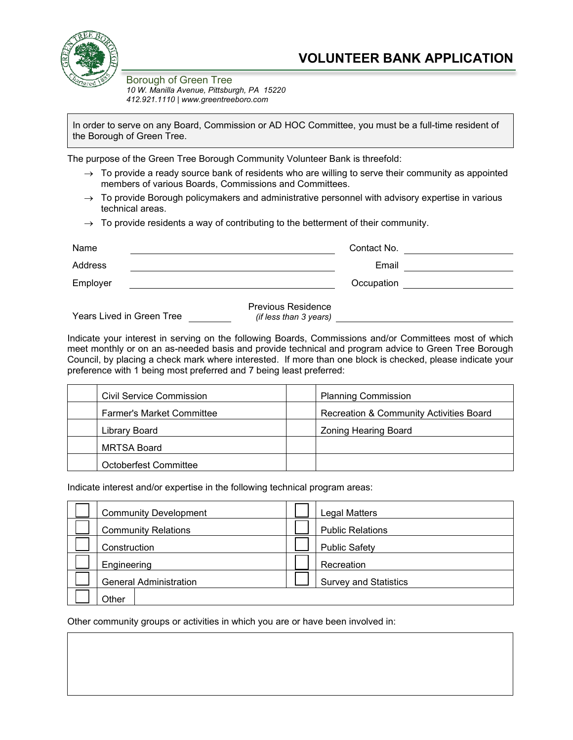

Borough of Green Tree *10 W. Manilla Avenue, Pittsburgh, PA 15220 412.921.1110 | www.greentreeboro.com*

In order to serve on any Board, Commission or AD HOC Committee, you must be a full-time resident of the Borough of Green Tree.

The purpose of the Green Tree Borough Community Volunteer Bank is threefold:

- $\rightarrow$  To provide a ready source bank of residents who are willing to serve their community as appointed members of various Boards, Commissions and Committees.
- $\rightarrow$  To provide Borough policymakers and administrative personnel with advisory expertise in various technical areas.
- $\rightarrow$  To provide residents a way of contributing to the betterment of their community.

| Name                      |                                                     | Contact No. |  |
|---------------------------|-----------------------------------------------------|-------------|--|
| Address                   |                                                     | Email       |  |
| Employer                  |                                                     | Occupation  |  |
| Years Lived in Green Tree | <b>Previous Residence</b><br>(if less than 3 years) |             |  |

Indicate your interest in serving on the following Boards, Commissions and/or Committees most of which meet monthly or on an as-needed basis and provide technical and program advice to Green Tree Borough Council, by placing a check mark where interested. If more than one block is checked, please indicate your preference with 1 being most preferred and 7 being least preferred:

| Civil Service Commission         | <b>Planning Commission</b>                         |
|----------------------------------|----------------------------------------------------|
| <b>Farmer's Market Committee</b> | <b>Recreation &amp; Community Activities Board</b> |
| Library Board                    | <b>Zoning Hearing Board</b>                        |
| MRTSA Board                      |                                                    |
| Octoberfest Committee            |                                                    |

Indicate interest and/or expertise in the following technical program areas:

|              | <b>Community Development</b>  | <b>Legal Matters</b>         |  |
|--------------|-------------------------------|------------------------------|--|
|              | <b>Community Relations</b>    | <b>Public Relations</b>      |  |
| Construction |                               | <b>Public Safety</b>         |  |
|              | Engineering                   | Recreation                   |  |
|              | <b>General Administration</b> | <b>Survey and Statistics</b> |  |
|              | Other                         |                              |  |

Other community groups or activities in which you are or have been involved in: